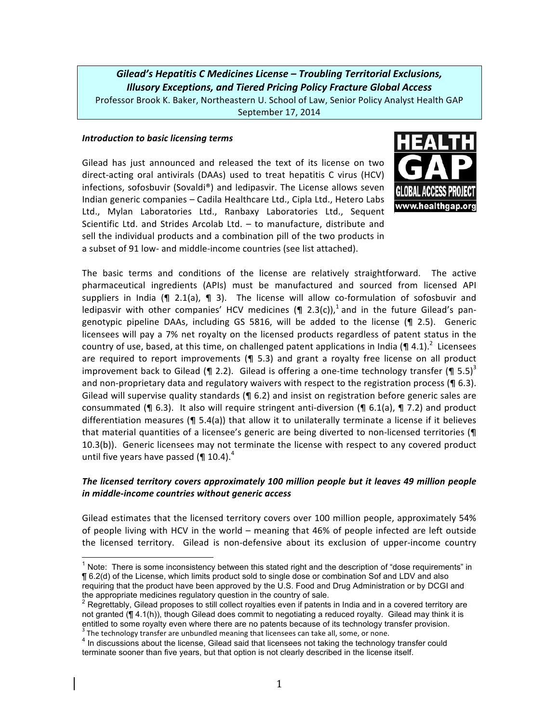*Gilead's)Hepatitis)C)Medicines)License)– Troubling)Territorial)Exclusions,) Illusory)Exceptions,)and)Tiered)Pricing)Policy)Fracture)Global)Access* Professor Brook K. Baker, Northeastern U. School of Law, Senior Policy Analyst Health GAP September 17, 2014

#### *Introduction to basic licensing terms*

Gilead has just announced and released the text of its license on two direct-acting oral antivirals (DAAs) used to treat hepatitis C virus (HCV) infections, sofosbuvir (Sovaldi®) and ledipasvir. The License allows seven Indian generic companies – Cadila Healthcare Ltd., Cipla Ltd., Hetero Labs Ltd., Mylan Laboratories Ltd., Ranbaxy Laboratories Ltd., Sequent Scientific Ltd. and Strides Arcolab Ltd. – to manufacture, distribute and sell the individual products and a combination pill of the two products in a subset of 91 low- and middle-income countries (see list attached).



The basic terms and conditions of the license are relatively straightforward. The active pharmaceutical ingredients (APIs) must be manufactured and sourced from licensed API suppliers in India (¶ 2.1(a),  $\P$  3). The license will allow co-formulation of sofosbuvir and ledipasvir with other companies' HCV medicines (¶ 2.3(c)),<sup>1</sup> and in the future Gilead's pangenotypic pipeline DAAs, including GS 5816, will be added to the license ( $\P$  2.5). Generic licensees will pay a 7% net royalty on the licensed products regardless of patent status in the country of use, based, at this time, on challenged patent applications in India (¶ 4.1).<sup>2</sup> Licensees are required to report improvements ( $\P$  5.3) and grant a royalty free license on all product improvement back to Gilead (¶ 2.2). Gilead is offering a one-time technology transfer (¶ 5.5)<sup>3</sup> and non-proprietary data and regulatory waivers with respect to the registration process ( $\blacksquare$  6.3). Gilead will supervise quality standards ( $\P$  6.2) and insist on registration before generic sales are consummated (¶ 6.3). It also will require stringent anti-diversion ( $\P$  6.1(a),  $\P$  7.2) and product differentiation measures ( $\P$  5.4(a)) that allow it to unilaterally terminate a license if it believes that material quantities of a licensee's generic are being diverted to non-licensed territories (¶ 10.3(b)). Generic licensees may not terminate the license with respect to any covered product until five years have passed ( $\P$  10.4).<sup>4</sup>

### *The)licensed)territory)covers)approximately)100)million)people)but)it)leaves)49)million)people) in)middleHincome)countries without)generic)access*

Gilead estimates that the licensed territory covers over 100 million people, approximately 54% of people living with HCV in the world – meaning that 46% of people infected are left outside the licensed territory. Gilead is non-defensive about its exclusion of upper-income country

 $<sup>1</sup>$  Note: There is some inconsistency between this stated right and the description of "dose requirements" in</sup> ¶ 6.2(d) of the License, which limits product sold to single dose or combination Sof and LDV and also requiring that the product have been approved by the U.S. Food and Drug Administration or by DCGI and the appropriate medicines regulatory question in the country of sale.

 $2$  Regrettably, Gilead proposes to still collect royalties even if patents in India and in a covered territory are not granted (¶ 4.1(h)), though Gilead does commit to negotiating a reduced royalty. Gilead may think it is entitled to some royalty even where there are no patents because of its technology transfer provision.  $3$  The technology transfer are unbundled meaning that licensees can take all, some, or none.

<sup>&</sup>lt;sup>4</sup> In discussions about the license, Gilead said that licensees not taking the technology transfer could terminate sooner than five years, but that option is not clearly described in the license itself.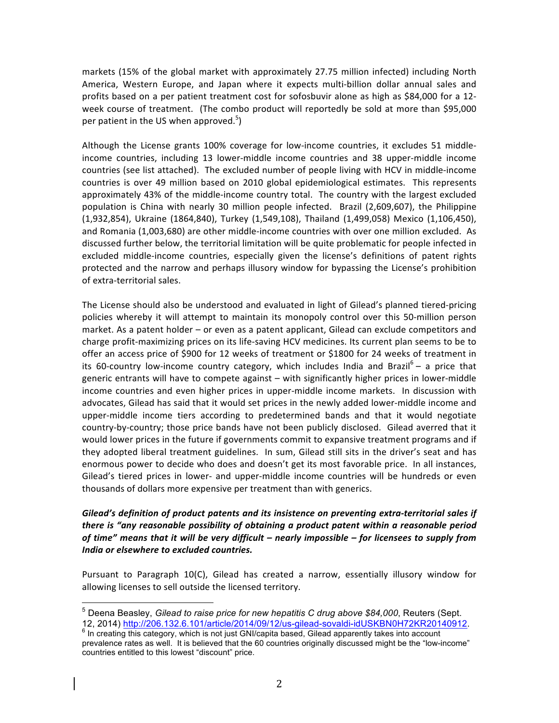markets (15% of the global market with approximately 27.75 million infected) including North America, Western Europe, and Japan where it expects multi-billion dollar annual sales and profits based on a per patient treatment cost for sofosbuvir alone as high as \$84,000 for a 12week course of treatment. (The combo product will reportedly be sold at more than \$95,000 per patient in the US when approved.<sup>5</sup>)

Although the License grants 100% coverage for low-income countries, it excludes 51 middleincome countries, including 13 lower-middle income countries and 38 upper-middle income countries (see list attached). The excluded number of people living with HCV in middle-income countries is over 49 million based on 2010 global epidemiological estimates. This represents approximately 43% of the middle-income country total. The country with the largest excluded population is China with nearly 30 million people infected. Brazil (2,609,607), the Philippine (1,932,854), Ukraine (1864,840), Turkey (1,549,108), Thailand (1,499,058) Mexico (1,106,450), and Romania (1,003,680) are other middle-income countries with over one million excluded. As discussed further below, the territorial limitation will be quite problematic for people infected in excluded middle-income countries, especially given the license's definitions of patent rights protected and the narrow and perhaps illusory window for bypassing the License's prohibition of extra-territorial sales.

The License should also be understood and evaluated in light of Gilead's planned tiered-pricing policies whereby it will attempt to maintain its monopoly control over this 50-million person market. As a patent holder – or even as a patent applicant, Gilead can exclude competitors and charge profit-maximizing prices on its life-saving HCV medicines. Its current plan seems to be to offer an access price of \$900 for 12 weeks of treatment or \$1800 for 24 weeks of treatment in its 60-country low-income country category, which includes India and Brazil<sup>6</sup> - a price that generic entrants will have to compete against – with significantly higher prices in lower-middle income countries and even higher prices in upper-middle income markets. In discussion with advocates, Gilead has said that it would set prices in the newly added lower-middle income and upper-middle income tiers according to predetermined bands and that it would negotiate country-by-country; those price bands have not been publicly disclosed. Gilead averred that it would lower prices in the future if governments commit to expansive treatment programs and if they adopted liberal treatment guidelines. In sum, Gilead still sits in the driver's seat and has enormous power to decide who does and doesn't get its most favorable price. In all instances, Gilead's tiered prices in lower- and upper-middle income countries will be hundreds or even thousands of dollars more expensive per treatment than with generics.

# Gilead's definition of product patents and its insistence on preventing extra-territorial sales if *there)is)"any)reasonable)possibility)of)obtaining)a)product)patent)within)a)reasonable)period) of)time" means)that)it)will)be)very)difficult)– nearly)impossible)– for)licensees)to)supply)from) India or elsewhere to excluded countries.*

Pursuant to Paragraph 10(C), Gilead has created a narrow, essentially illusory window for allowing licenses to sell outside the licensed territory.

<sup>&</sup>lt;sup>5</sup> Deena Beasley, *Gilead to raise price for new hepatitis C drug above \$84,000*, Reuters (Sept.<br>12, 2014) http://206.132.6.101/article/2014/09/12/us-gilead-sovaldi-idUSKBN0H72KR20140912.

 $\frac{1}{6}$  In creating this category, which is not just GNI/capita based, Gilead apparently takes into account prevalence rates as well. It is believed that the 60 countries originally discussed might be the "low-income" countries entitled to this lowest "discount" price.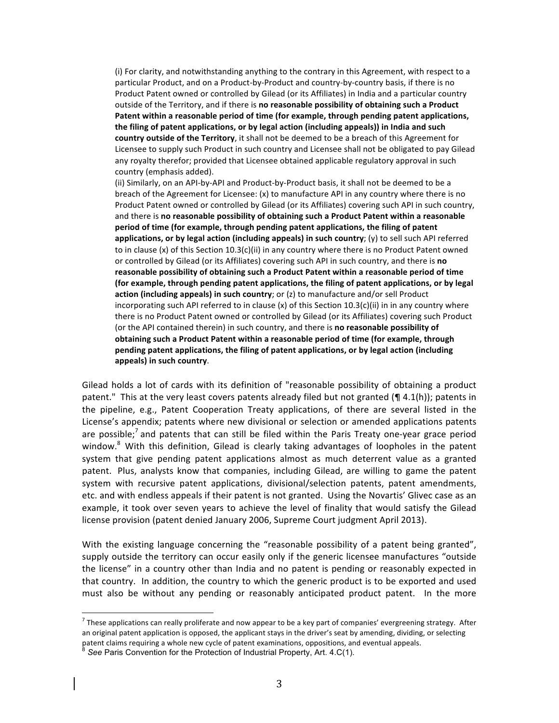(i) For clarity, and notwithstanding anything to the contrary in this Agreement, with respect to a particular' Product, and on a Product-by-Product and country-by-country basis, if there is no Product Patent owned or controlled by Gilead (or its Affiliates) in India and a particular country outside of the Territory, and if there is no reasonable possibility of obtaining such a Product Patent within a reasonable period of time (for example, through pending patent applications, the filing of patent applications, or by legal action (including appeals)) in India and such country outside of the Territory, it shall not be deemed to be a breach of this Agreement for Licensee to supply such Product in such country and Licensee shall not be obligated to pay Gilead any royalty therefor; provided that Licensee obtained applicable regulatory approval in such country (emphasis added).

(ii) Similarly, on an API-by-API and Product-by-Product basis, it shall not be deemed to be a breach of the Agreement for Licensee: (x) to manufacture API in any country where there is no Product Patent owned or controlled by Gilead (or its Affiliates) covering such API in such country, and there is no reasonable possibility of obtaining such a Product Patent within a reasonable period of time (for example, through pending patent applications, the filing of patent applications, or by legal action (including appeals) in such country; (y) to sell such API referred to in clause (x) of this Section 10.3(c)(ii) in any country where there is no Product Patent owned or controlled by Gilead (or its Affiliates) covering such API in such country, and there is no reasonable possibility of obtaining such a Product Patent within a reasonable period of time (for example, through pending patent applications, the filing of patent applications, or by legal **action (including appeals) in such country**; or (z) to manufacture and/or sell Product incorporating such API referred to in clause (x) of this Section 10.3(c)(ii) in in any country where there is no Product Patent owned or controlled by Gilead (or its Affiliates) covering such Product (or the API contained therein) in such country, and there is **no reasonable possibility of obtaining such a Product Patent within a reasonable period of time (for example, through** pending patent applications, the filing of patent applications, or by legal action (including appeals) in such country.

Gilead holds a lot of cards with its definition of "reasonable possibility of obtaining a product patent." This at the very least covers patents already filed but not granted ( $\P$  4.1(h)); patents in the pipeline, e.g., Patent Cooperation Treaty applications, of there are several listed in the License's appendix; patents where new divisional or selection or amended applications patents are possible;<sup>7</sup> and patents that can still be filed within the Paris Treaty one-year grace period window.<sup>8</sup> With this definition, Gilead is clearly taking advantages of loopholes in the patent system that give pending patent applications almost as much deterrent value as a granted patent. Plus, analysts know that companies, including Gilead, are willing to game the patent system with recursive patent applications, divisional/selection patents, patent amendments, etc. and with endless appeals if their patent is not granted. Using the Novartis' Glivec case as an example, it took over seven years to achieve the level of finality that would satisfy the Gilead license provision (patent denied January 2006, Supreme Court judgment April 2013).

With the existing language concerning the "reasonable possibility of a patent being granted", supply outside the territory can occur easily only if the generic licensee manufactures "outside the license" in a country other than India and no patent is pending or reasonably expected in that country. In addition, the country to which the generic product is to be exported and used must also be without any pending or reasonably anticipated product patent. In the more

 $^7$  These applications can really proliferate and now appear to be a key part of companies' evergreening strategy. After an original patent application is opposed, the applicant stays in the driver's seat by amending, dividing, or selecting patent claims' requiring a whole new cycle of patent examinations, oppositions, and eventual appeals.

See Paris Convention for the Protection of Industrial Property, Art. 4.C(1).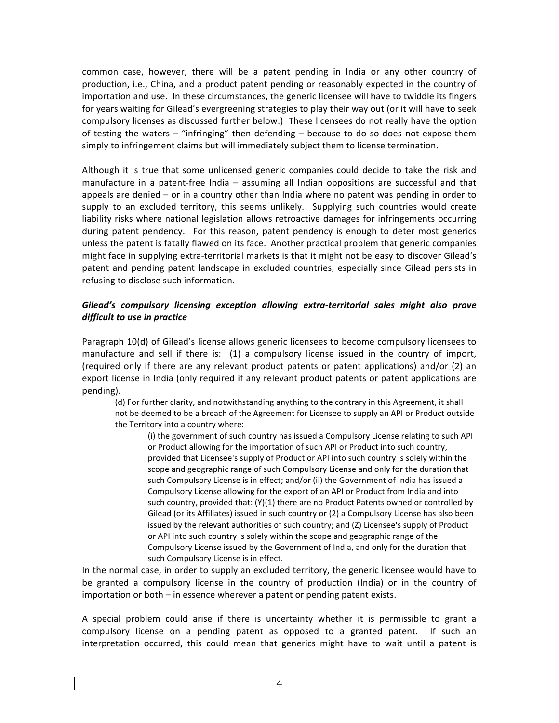common case, however, there will be a patent pending in India or any other country of production, i.e., China, and a product patent pending or reasonably expected in the country of importation and use. In these circumstances, the generic licensee will have to twiddle its fingers for years waiting for Gilead's evergreening strategies to play their way out (or it will have to seek compulsory licenses as discussed further below.) These licensees do not really have the option of testing the waters – "infringing" then defending – because to do so does not expose them simply to infringement claims but will immediately subject them to license termination.

Although it is true that some unlicensed generic companies could decide to take the risk and manufacture in a patent-free India – assuming all Indian oppositions are successful and that appeals are denied – or in a country other than India where no patent was pending in order to supply to an excluded territory, this seems unlikely. Supplying such countries would create liability risks where national legislation allows retroactive damages for infringements occurring during patent pendency. For this reason, patent pendency is enough to deter most generics unless the patent is fatally flawed on its face. Another practical problem that generic companies might face in supplying extra-territorial markets is that it might not be easy to discover Gilead's patent and pending patent landscape in excluded countries, especially since Gilead persists in refusing to disclose such information.

## Gilead's compulsory licensing exception allowing extra-territorial sales might also prove *difficult* to use in practice

Paragraph 10(d) of Gilead's license allows generic licensees to become compulsory licensees to manufacture and sell if there is: (1) a compulsory license issued in the country of import, (required only if there are any relevant product patents or patent applications) and/or (2) an export license in India (only required if any relevant product patents or patent applications are pending).

(d) For further clarity, and notwithstanding anything to the contrary in this Agreement, it shall not be deemed to be a breach of the Agreement for Licensee to supply an API or Product outside the Territory into a country where:

(i) the government of such country has issued a Compulsory License relating to such API or Product allowing for the importation of such API or Product into such country, provided that Licensee's supply of Product or API into such country is solely within the scope and geographic range of such Compulsory License and only for the duration that such Compulsory License is in effect; and/or (ii) the Government of India has issued a Compulsory License allowing for the export of an API or Product from India and into such country, provided that: (Y)(1) there are no Product Patents owned or controlled by Gilead (or its Affiliates) issued in such country or (2) a Compulsory License has also been issued by the relevant authorities of such country; and (Z) Licensee's supply of Product or API into such country is solely within the scope and geographic range of the Compulsory License issued by the Government of India, and only for the duration that such Compulsory License is in effect.

In the normal case, in order to supply an excluded territory, the generic licensee would have to be granted a compulsory license in the country of production (India) or in the country of importation or both – in essence wherever a patent or pending patent exists.

A special problem could arise if there is uncertainty whether it is permissible to grant a compulsory license on a pending patent as opposed to a granted patent. If such an interpretation occurred, this could mean that generics might have to wait until a patent is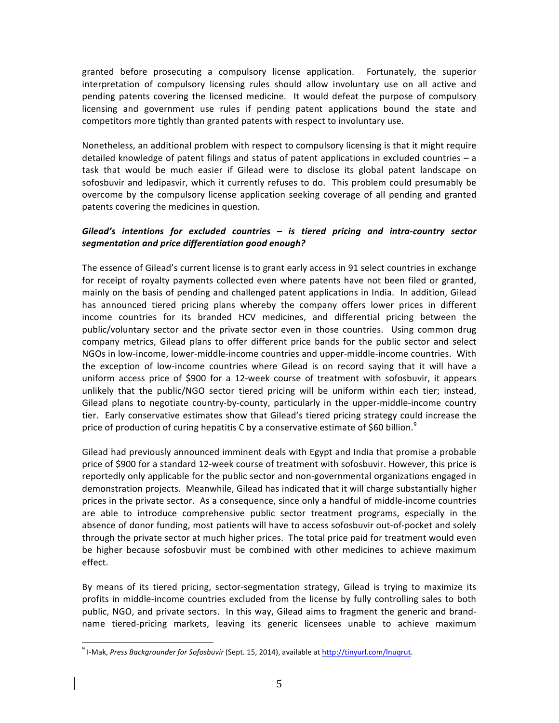granted before prosecuting a compulsory license application. Fortunately, the superior interpretation of compulsory licensing rules should allow involuntary use on all active and pending patents covering the licensed medicine. It would defeat the purpose of compulsory licensing and government use rules if pending patent applications bound the state and competitors more tightly than granted patents with respect to involuntary use.

Nonetheless, an additional problem with respect to compulsory licensing is that it might require detailed knowledge of patent filings and status of patent applications in excluded countries – a task that would be much easier if Gilead were to disclose its global patent landscape on sofosbuvir and ledipasvir, which it currently refuses to do. This problem could presumably be overcome by the compulsory license application seeking coverage of all pending and granted patents covering the medicines in question.

# Gilead's intentions for excluded countries – is tiered pricing and intra-country sector segmentation and price differentiation good enough?

The essence of Gilead's current license is to grant early access in 91 select countries in exchange for receipt of royalty payments collected even where patents have not been filed or granted, mainly on the basis of pending and challenged patent applications in India. In addition, Gilead has announced tiered pricing plans whereby the company offers lower prices in different income countries for its branded HCV medicines, and differential pricing between the public/voluntary sector and the private sector even in those countries. Using common drug company metrics, Gilead plans to offer different price bands for the public sector and select NGOs in low-income, lower-middle-income countries and upper-middle-income countries. With the exception of low-income countries where Gilead is on record saying that it will have a uniform access price of \$900 for a 12-week course of treatment with sofosbuvir, it appears unlikely that the public/NGO sector tiered pricing will be uniform within each tier; instead, Gilead plans to negotiate country-by-county, particularly in the upper-middle-income country tier.''Early conservative estimates show that Gilead's tiered pricing strategy could increase the price of production of curing hepatitis C by a conservative estimate of \$60 billion.<sup>9</sup>

Gilead had previously announced imminent deals with Egypt and India that promise a probable price of \$900 for a standard 12-week course of treatment with sofosbuvir. However, this price is reportedly only applicable for the public sector and non-governmental organizations engaged in demonstration projects. Meanwhile, Gilead has indicated that it will charge substantially higher prices in the private sector. As a consequence, since only a handful of middle-income countries are able to introduce comprehensive public sector treatment programs, especially in the absence of donor funding, most patients will have to access sofosbuvir out-of-pocket and solely through the private sector at much higher prices. The total price paid for treatment would even be higher because sofosbuvir must be combined with other medicines to achieve maximum effect.

By means of its tiered pricing, sector-segmentation strategy, Gilead is trying to maximize its profits in middle-income countries excluded from the license by fully controlling sales to both public, NGO, and private sectors. In this way, Gilead aims to fragment the generic and brandname tiered-pricing markets, leaving its generic licensees unable to achieve maximum

<sup>&</sup>lt;sup>9</sup> !-Mak, Press Backgrounder for Sofosbuvir (Sept. 15, 2014), available at http://tinyurl.com/lnuqrut.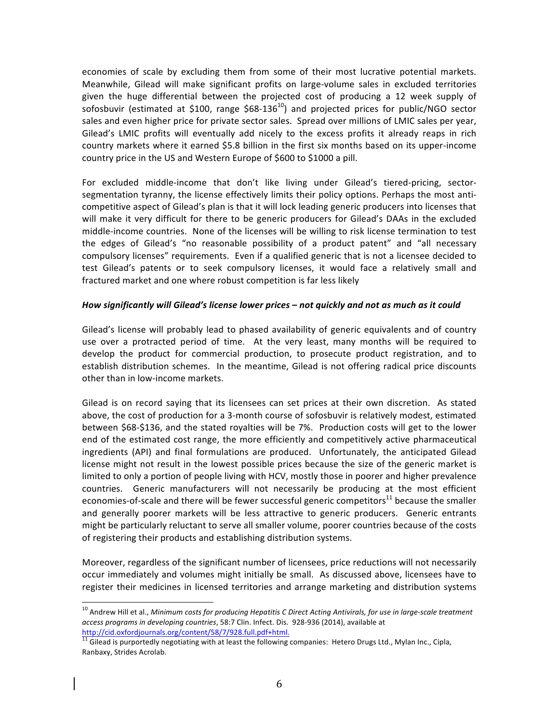economies' of scale by excluding them from some of their most lucrative potential markets. Meanwhile, Gilead will make significant profits on large-volume sales in excluded territories given the huge differential between the projected cost of producing a 12 week supply of sofosbuvir (estimated at \$100, range \$68-136<sup>10</sup>) and projected prices for public/NGO sector sales and even higher price for private sector sales. Spread over millions of LMIC sales per year, Gilead's LMIC profits will eventually add nicely to the excess profits it already reaps in rich country markets where it earned \$5.8 billion in the first six months based on its upper-income country price in the US and Western Europe of \$600 to \$1000 a pill.

For excluded middle-income that don't like living under Gilead's tiered-pricing, sectorsegmentation tyranny, the license effectively limits their policy options. Perhaps the most anticompetitive aspect of Gilead's plan is that it will lock leading generic producers into licenses that will make it very difficult for there to be generic producers for Gilead's DAAs in the excluded middle-income countries. None of the licenses will be willing to risk license termination to test the' edges' of' Gilead's' "no' reasonable' possibility' of' a' product' patent"' and' "all' necessary' compulsory licenses" requirements. Even if a qualified generic that is not a licensee decided to test Gilead's patents or to seek compulsory licenses, it would face a relatively small and fractured market and one where robust competition is far less likely

#### *How significantly will Gilead's license lower prices – not quickly and not as much as it could*

Gilead's license will probably lead to phased availability of generic equivalents and of country use over a protracted period of time. At the very least, many months will be required to develop the product for commercial production, to prosecute product registration, and to establish distribution schemes. In the meantime, Gilead is not offering radical price discounts other than in low-income markets.

Gilead is on record saying that its licensees can set prices at their own discretion. As stated above, the cost of production for a 3-month course of sofosbuvir is relatively modest, estimated between \$68-\$136, and the stated royalties will be 7%. Production costs will get to the lower end of the estimated cost range, the more efficiently and competitively active pharmaceutical ingredients (API) and final formulations are produced. Unfortunately, the anticipated Gilead license might not result in the lowest possible prices because the size of the generic market is limited to only a portion of people living with HCV, mostly those in poorer and higher prevalence countries. Generic manufacturers will not necessarily be producing at the most efficient economies-of-scale and there will be fewer successful generic competitors<sup>11</sup> because the smaller and generally poorer markets will be less attractive to generic producers. Generic entrants might be particularly reluctant to serve all smaller volume, poorer countries because of the costs of registering their products and establishing distribution systems.

Moreover, regardless of the significant number of licensees, price reductions will not necessarily occur immediately and volumes might initially be small. As discussed above, licensees have to register their medicines in licensed territories and arrange marketing and distribution systems

<sup>&</sup>lt;sup>10</sup> Andrew Hill et al., Minimum costs for producing Hepatitis C Direct Acting Antivirals, for use in large-scale treatment access programs in developing countries, 58:7 Clin. Infect. Dis. 928-936 (2014), available at http://cid.oxfordjournals.org/content/58/7/928.full.pdf+html.

http://cid.oxfordjournals.org/content/58/7/928.fulleast-html. 11<br><sup>11</sup> Gilead is purportedly negotiating with at least the following companies: Hetero Drugs Ltd., Mylan Inc., Cipla, Ranbaxy, Strides Acrolab.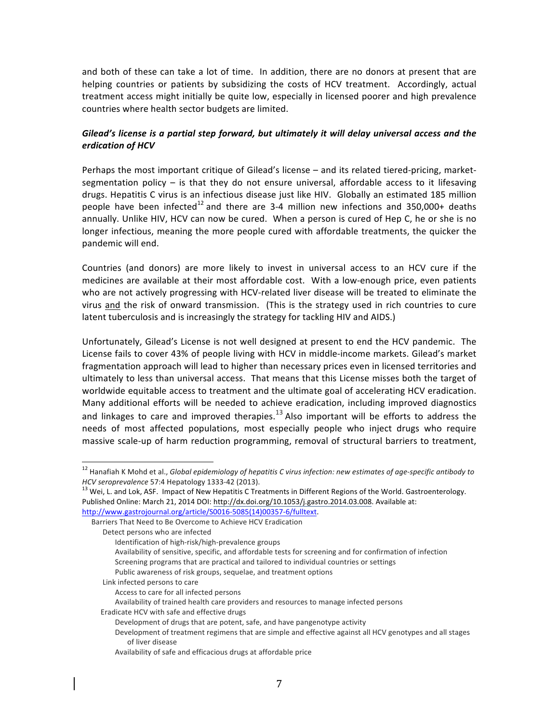and both of these can take a lot of time. In addition, there are no donors at present that are helping countries or patients by subsidizing the costs of HCV treatment. Accordingly, actual treatment access might initially be quite low, especially in licensed poorer and high prevalence countries where health sector budgets are limited.

# Gilead's license is a partial step forward, but ultimately it will delay *universal access and the erdication)of)HCV*

Perhaps the most important critique of Gilead's license - and its related tiered-pricing, marketsegmentation policy – is that they do not ensure universal, affordable access to it lifesaving drugs. Hepatitis C virus is an infectious disease just like HIV. Globally an estimated 185 million people have been infected<sup>12</sup> and there are 3-4 million new infections and 350,000+ deaths annually. Unlike HIV, HCV can now be cured. When a person is cured of Hep C, he or she is no longer infectious, meaning the more people cured with affordable treatments, the quicker the pandemic will end.

Countries (and donors) are more likely to invest in universal access to an HCV cure if the medicines are available at their most affordable cost. With a low-enough price, even patients who are not actively progressing with HCV-related liver disease will be treated to eliminate the virus and the risk of onward transmission. (This is the strategy used in rich countries to cure latent tuberculosis and is increasingly the strategy for tackling HIV and AIDS.)

Unfortunately, Gilead's License is not well designed at present to end the HCV pandemic. The License fails to cover 43% of people living with HCV in middle-income markets. Gilead's market fragmentation approach will lead to higher than necessary prices even in licensed territories and ultimately to less than universal access. That means that this License misses both the target of worldwide equitable access to treatment and the ultimate goal of accelerating HCV eradication. Many additional efforts will be needed to achieve eradication, including improved diagnostics and linkages to care and improved therapies.<sup>13</sup> Also important will be efforts to address the needs of most affected populations, most especially people who inject drugs who require massive scale-up of harm reduction programming, removal of structural barriers to treatment,

<sup>&</sup>lt;sup>12</sup> Hanafiah K Mohd et al., *Global epidemiology of hepatitis C virus infection: new estimates of age-specific antibody to HCV seroprevalence* 57:4 Hepatology 1333-42 (2013).<br><sup>13</sup> Wei, L. and Lok, ASF. Impact of New Hepatitis C Treatments in Different Regions of the World. Gastroenterology.

Published Online: March 21, 2014 DOI: http://dx.doi.org/10.1053/j.gastro.2014.03.008. Available at:

http://www.gastrojournal.org/article/S0016-5085(14)00357-6/fulltext. Barriers That Need to Be Overcome to Achieve HCV Eradication

Detect persons who are infected

Identification of high-risk/high-prevalence groups

Availability of sensitive, specific, and affordable tests for screening and for confirmation of infection Screening programs that are practical and tailored to individual countries or settings

Public awareness of risk groups, sequelae, and treatment options

Link infected persons to care

Access to care for all infected persons

Availability of trained health care providers and resources to manage infected persons

Eradicate HCV with safe and effective drugs

Development of drugs that are potent, safe, and have pangenotype activity

Development of treatment regimens that are simple and effective against all HCV genotypes and all stages of liver disease

Availability of safe and efficacious drugs at affordable price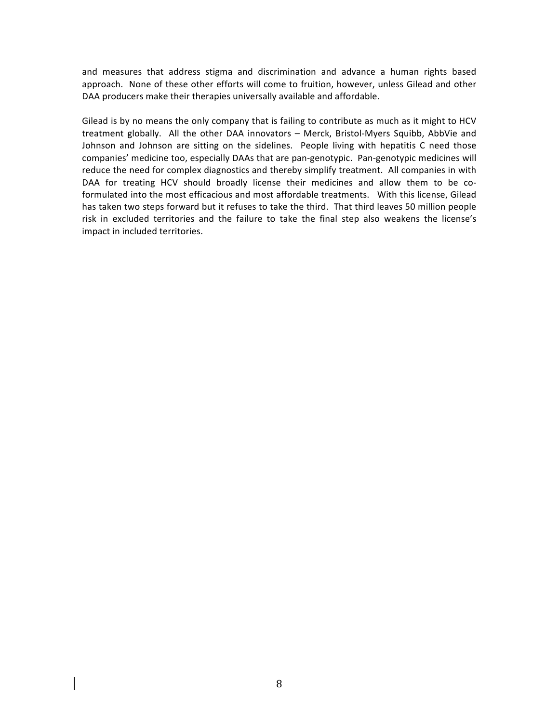and measures that address stigma and discrimination and advance a human rights based approach. None of these other efforts will come to fruition, however, unless Gilead and other DAA producers make their therapies universally available and affordable.

Gilead is by no means the only company that is failing to contribute as much as it might to HCV treatment globally. All the other DAA innovators – Merck, Bristol-Myers Squibb, AbbVie and Johnson and Johnson are sitting on the sidelines. People living with hepatitis C need those companies' medicine too, especially DAAs that are pan-genotypic. Pan-genotypic medicines will reduce the need for complex diagnostics and thereby simplify treatment. All companies in with DAA for treating HCV should broadly license their medicines and allow them to be coformulated into the most efficacious and most affordable treatments. With this license, Gilead has taken two steps forward but it refuses to take the third. That third leaves 50 million people risk in excluded territories and the failure to take the final step also weakens the license's impact in included territories.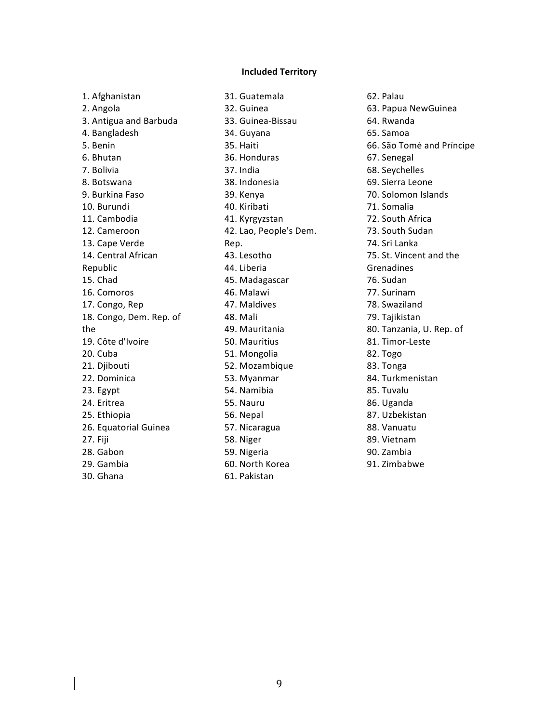#### **Included#Territory**

1. Afghanistan 2. Angola 3. Antigua and Barbuda 4. Bangladesh 5. Benin 6.'Bhutan' 7. Bolivia 8. Botswana 9. Burkina Faso 10. Burundi 11. Cambodia 12. Cameroon 13. Cape Verde 14. Central African Republic' 15. Chad 16. Comoros 17. Congo, Rep 18. Congo, Dem. Rep. of the' 19. Côte d'Ivoire 20. Cuba 21. Djibouti 22. Dominica 23. Egypt 24. Eritrea 25. Ethiopia 26. Equatorial Guinea 27. Fiji 28. Gabon 29. Gambia 30. Ghana

31. Guatemala 32. Guinea 33. Guinea-Bissau 34. Guyana 35. Haiti 36.'Honduras' 37. India 38. Indonesia 39. Kenya 40. Kiribati 41. Kyrgyzstan 42. Lao, People's Dem. Rep.' 43. Lesotho 44. Liberia 45. Madagascar 46. Malawi 47. Maldives 48. Mali 49. Mauritania 50.'Mauritius' 51. Mongolia 52. Mozambique 53. Myanmar 54. Namibia 55.'Nauru' 56. Nepal 57. Nicaragua 58. Niger 59. Nigeria 60. North Korea 61.'Pakistan'

62. Palau 63. Papua NewGuinea 64. Rwanda 65.'Samoa' 66. São Tomé and Príncipe 67. Senegal 68. Seychelles 69. Sierra Leone 70. Solomon Islands 71. Somalia 72. South Africa 73. South Sudan 74. Sri Lanka 75. St. Vincent and the Grenadines' 76. Sudan 77. Surinam 78. Swaziland 79. Tajikistan 80. Tanzania, U. Rep. of 81. Timor-Leste 82. Togo 83. Tonga 84. Turkmenistan 85. Tuvalu 86. Uganda 87. Uzbekistan 88.'Vanuatu' 89. Vietnam 90. Zambia 91. Zimbabwe